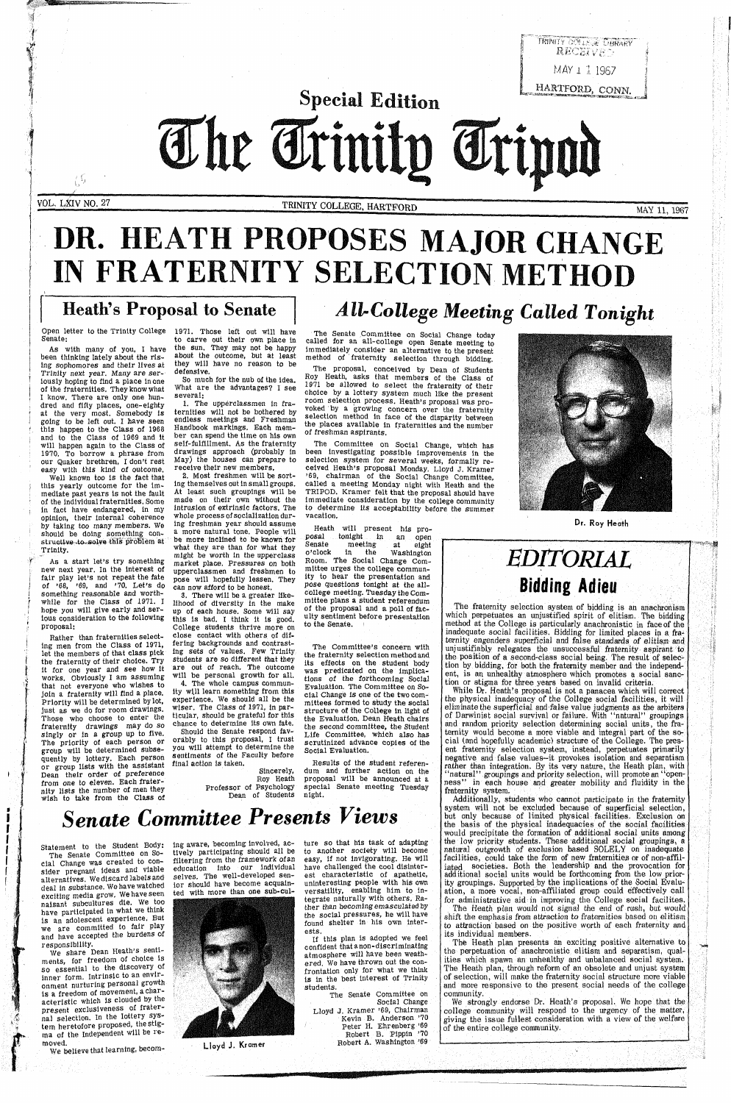**f**

Special Edition The Trinity Tripod

풍토

VOL. LXIV NO. 27 TRINITY COLLEGE, HARTFORD MAY 11, 1967

# **DR. HEATH PROPOSES MAJOR CHANGE IN FRATERNITY SELECTION METHOD**

## Heath's Proposal to Senate *All-College Meeting Called Tonight*

Open letter to the Trinity College 1971. Those left out will have Senate:

As with many of you, I have been thinking lately about the rising sophomores and their lives at Trinity next year. Many are seriously hoping to find a place In one of the fraternities. They know what I know. There are only one hundred and fifty places, one-eighty at the very most. Somebody Is going to be left out. I have seen this happen to the Class of 1968 and to the Class of 1969 and it will happen again to the Class of 1970. To borrow a phrase from our Quaker brethren, I don't rest easy with this kind of outcome.

Well known too is the fact that this yearly outcome for the immediate past years is not the fault of the individual fraternities. Some In fact have endangered, in my opinion, their internal coherence by taking too many members. We should be doing something constructive to solve this problem at ' Trinity.

As a start let's try something new next year. In the Interest of fair play let's not repeat the fate of '68, '69, and '70. Let's do something reasonable and worthwhile for the Class of 1971. I hope you will give early and serious consideration to the following proposal:

Rather than fraternities selecting men from the Class of 1971, let the members of that class pick the fraternity of their choice. Try It for one year and see how it works, obviously I am assuming that not everyone who wishes to join a fraternity will find a place. Priority will be determined by lot, just as we do for room drawings. Those who choose to enter the fraternity drawings may do so singly or in a group up to live. The priority of each person or group will be determined subsequently by lottery. Each person or group lists with the assistant Dean their order of preference from one to eleven. Each fraternity lists the number of men they wish to take from the Class of

to carve out their own place In the sun. They may not be happy about the outcome, but at least they will have no reason to be defensive.

So much for the nub of the idea. What are the advantages? I see several:

1. The upperclassmen in fraternities will not be bothered by endless meetings and Freshman Handbook markings. Each member can spend the time on his own self-fulfillment. As the fraternity drawings approach (probably in May) the houses can prepare to receive their new members.

2. Most freshmen will be sort-Ing themselves out in small groups. At least such groupings will be made on their own without the intrusion of extrinsic factors. The whole process of socialization during freshman year should assume a more natural tone. People will be more inclined to be known for what they are than for what they might be worth In the upperclass market place. Pressures on both upperclassmen and freshmen to pose will hopefully lessen. They can now afford to be honest.

3. There will be a greater likelihood of diversity in the make up of each house. Some will say this is bad. I think it is good. College students thrive more on close contact with others of differing backgrounds and contrasting sets of values. Few Trinity students are so different that they are out of reach. The outcome will be personal growth for all.

4. The whole campus community will learn something from this experience. We should all be the wiser. The Class of 1971, In particular, should be grateful for this chance to determine its own fate.

Should the Senate respond favorably to this proposal, I trust you will attempt to determine the sentiments of the Faculty before final action is taken.

Sincerely, Roy Heath Professor of Psychology Dean of Students

The Senate ,Committee on Social Change today called for an all-college open Senate meeting to immediately consider an alternative to the present method of fraternity selection through bidding.

The proposal, conceived by Dean of Students Roy Heath, asks that members of the Class of 1971 be allowed to select the fraternity of their choice by a lottery system much like the present room selection process. Heath's proposal was provoked by a growing concern over the fraternity selection method in face of the disparity between the places available in fraternities and the number of freshman aspirants.

The Committee on Social Change, which has been Investigating possible improvements in the selection system for several weeks, formally received Heath's proposal Monday. Lloyd J. Kramer '69, chairman of the Social Change Committee, called a meeting Monday night with Heath and the TRIPOD. Kramer felt that the proposal should have immediate consideration by the college community to determine its acceptability before the summer vacation.

> system will not be excluded because of superficial selection, but only because of limited physical facilities. Exclusion on the basis of the physical inadequacies of the social facilities would precipitate the formation of additional social units among the low priority students. These additional social groupings, a natural outgrowth of exclusion based SOLELY on inadequate facilities, could take the form of new fraternities or of non-affiliated societies. Both the leadership and the provocation for additional social units would be forthcoming from the low priority groupings. Supported by the implications of the Social Evaluation, a more vocal, non-affiliated group could effectively call for administrative aid in improving the College social facilites.

Heath will present his proposal tonight in an open<br>Senate meeting at eight  $\begin{tabular}{lllll} Senate & meeting \\ o'clock & in & the \end{tabular}$ Washington Room. The Social Change Committee urges the college community to hear the presentation and pose questions tonight at the allcollege meeting. Tuesday the Committee plans a student referendum of the proposal and a poll of faculty sentiment before presentation to the Senate. '

Dr. Roy Heath

### The Committee's concern with the fraternity selection method and its effects on the student body was predicated on the implications of the forthcoming Social Evaluation. The Committee on Social Change is one of the two committees formed to study the social structure of the College in light of the Evaluation. Dean Heath chairs the second committee, the Student Life Committee, which also has scrutinized advance copies of the Social Evaluation.

Results of the student referendum and further action on the proposal will be announced at a special Senate meeting Tuesday night.



### *Senate Committee Presents Views*

Statement to the Student Body:

The Senate Committee on Social Change was created to consider pregnant ideas and viable alternatives. We discard labels and deal In substance. We have watched exciting media grow. We have seen nalsant subcultures die. We too have participated In what we think is an adolescent experience. But we are committed to fair play and have accepted the burdens of responsibility.

We share Dean Heath's sentiments, for freedom of choice is so essential to the discovery of inner form. Intrinsic to an environment nurturing personal growth is a freedom of movement, a characteristic which is clouded by the present excluslveness of fraternal selection. In the lottery system heretofore proposed, the stigma of the independent will be removed.

We believe that learning, becom-

ing aware, becoming involved, actively participating should all be filtering from the framework of an education into our individual selves. The well-developed senior should have become acquainted with more than one sub-cul-



Lloyd J. Kramer

ture so that his task of adapting to another society will become easy, if not Invigorating. He will have challenged the cool disinterest characteristic of apathetic, uninteresting people with his own versatility, enabling him to Integrate naturally with others. Rather than becoming emasculated by the social pressures, he will have found shelter in his own Interests.

If this plan is adopted we feel confident that a non-discriminating atmosphere will have been weathered. We have thrown out the confrontation only for what we think is in the best interest of Trinity students.

The Senate Committee on Social Change Lloyd J. Kramer '69, Chairman Kevin B. Anderson '70 Peter H. Ehrenberg '69 Robert B. Pippin '70 Robert A. Washington '69

i.

### *EDITORIAL* **Bidding Adieu**

The fraternity selection system of bidding is an anachronism which perpetuates an unjustified spirit of elitism. The bidding method at the College is particularly anachronistic in face of the inadequate social facilities. Bidding for limited places in a fraternity engenders superficial and false standards *of* elitism and unjustifiably relegates the unsuccessful fraternity aspirant to the position of a second-class social being. The result of selection by bidding, for both the fraternity member and the independent, is an unhealthy atmosphere which promotes a social sanction or stigma for three years based on invalid criteria.

While Dr. Heath's proposal is not a panacea which will correct the physical inadequacy of the College social facilities, it will eliminate the superficial and false value judgments as the arbiters of Darwinist social survival or failure. With "natural" groupings and random priority selection determining social units, the fraternity would become a more viable and integral part of the social (and hopefully academic) structure of the College. The present fraternity selection system, instead, perpetuates primarily negative and false values—it provokes isolation and separatism rather than integration. By its very nature, the Heath plan, with 'natural" groupings and priority selection, will promote an "openness" in each house and greater mobility and fluidity in the fraternity system.

Additionally, students who cannot participate in the fraternity

The Heath plan would not signal the end of rush, but would shift the emphasis from attraction to fraternities based on elitism to attraction based on the positive worth of each fraternity and its individual members.

The Heath plan presents an exciting positive alternative to the perpetuation of anachronistic elitism and separatism, qualities which spawn an unhealthy and unbalanced social system. The Heath plan, through reform of an obsolete and unjust system of selection, will make the fraternity social structure more viable and more responsive to the present social needs of the college community.

We strongly endorse Dr. Heath's proposal. We hope that the college community will respond to the urgency of the matter, giving the issue fullest consideration with a view of the welfare of the entire college community.

> w—7 **l**